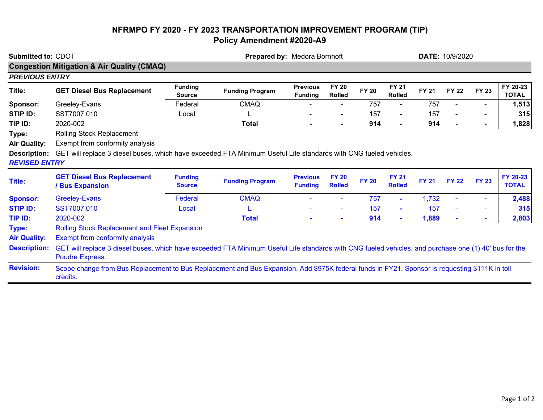## **NFRMPO FY 2020 - FY 2023 TRANSPORTATION IMPROVEMENT PROGRAM (TIP) Policy Amendment #2020-A9**

| Submitted to: CDOT                                                          |                                                                                                                                                                                  |                                 | Prepared by: Medora Bornhoft |                                   |                               |              |                               | <b>DATE: 10/9/2020</b> |                |                |                          |  |
|-----------------------------------------------------------------------------|----------------------------------------------------------------------------------------------------------------------------------------------------------------------------------|---------------------------------|------------------------------|-----------------------------------|-------------------------------|--------------|-------------------------------|------------------------|----------------|----------------|--------------------------|--|
|                                                                             | <b>Congestion Mitigation &amp; Air Quality (CMAQ)</b>                                                                                                                            |                                 |                              |                                   |                               |              |                               |                        |                |                |                          |  |
| <b>PREVIOUS ENTRY</b>                                                       |                                                                                                                                                                                  |                                 |                              |                                   |                               |              |                               |                        |                |                |                          |  |
| Title:                                                                      | <b>GET Diesel Bus Replacement</b>                                                                                                                                                | <b>Funding</b><br><b>Source</b> | <b>Funding Program</b>       | <b>Previous</b><br><b>Funding</b> | <b>FY 20</b><br><b>Rolled</b> | <b>FY 20</b> | <b>FY 21</b><br><b>Rolled</b> | <b>FY 21</b>           | <b>FY 22</b>   | <b>FY 23</b>   | FY 20-23<br><b>TOTAL</b> |  |
| Sponsor:                                                                    | Greeley-Evans                                                                                                                                                                    | Federal                         | <b>CMAQ</b>                  |                                   |                               | 757          |                               | 757                    |                |                | 1,513                    |  |
| <b>STIP ID:</b>                                                             | SST7007.010                                                                                                                                                                      | Local                           |                              |                                   |                               | 157          | Ξ.                            | 157                    |                |                | 315                      |  |
| TIP ID:                                                                     | 2020-002                                                                                                                                                                         |                                 | <b>Total</b>                 | $\blacksquare$                    | $\blacksquare$                | 914          | $\blacksquare$                | 914                    |                | $\blacksquare$ | 1,828                    |  |
| Type:<br><b>Air Quality:</b><br><b>Description:</b><br><b>REVISED ENTRY</b> | Rolling Stock Replacement<br>Exempt from conformity analysis<br>GET will replace 3 diesel buses, which have exceeded FTA Minimum Useful Life standards with CNG fueled vehicles. |                                 |                              |                                   |                               |              |                               |                        |                |                |                          |  |
| <b>Title:</b>                                                               | <b>GET Diesel Bus Replacement</b><br>/ Bus Expansion                                                                                                                             | <b>Funding</b><br><b>Source</b> | <b>Funding Program</b>       | <b>Previous</b><br><b>Funding</b> | <b>FY 20</b><br><b>Rolled</b> | <b>FY 20</b> | <b>FY 21</b><br><b>Rolled</b> | <b>FY 21</b>           | <b>FY 22</b>   | <b>FY 23</b>   | FY 20-23<br><b>TOTAL</b> |  |
| <b>Sponsor:</b>                                                             | <b>Greeley-Evans</b>                                                                                                                                                             | Federal                         | <b>CMAQ</b>                  |                                   |                               | 757          | ٠                             | 1,732                  |                | $\sim$         | 2,488                    |  |
| <b>STIP ID:</b>                                                             | SST7007.010                                                                                                                                                                      | Local                           |                              |                                   | $\sim$                        | 157          | $\sim$                        | 157                    |                | $\sim$         | 315                      |  |
| TIP ID:                                                                     | 2020-002                                                                                                                                                                         |                                 | <b>Total</b>                 | ٠                                 | $\blacksquare$                | 914          | ٠                             | 1,889                  | $\blacksquare$ | $\sim$         | 2,803                    |  |
| Type:                                                                       | <b>Rolling Stock Replacement and Fleet Expansion</b>                                                                                                                             |                                 |                              |                                   |                               |              |                               |                        |                |                |                          |  |
| <b>Air Quality:</b>                                                         | Exempt from conformity analysis                                                                                                                                                  |                                 |                              |                                   |                               |              |                               |                        |                |                |                          |  |
| <b>Description:</b>                                                         | GET will replace 3 diesel buses, which have exceeded FTA Minimum Useful Life standards with CNG fueled vehicles, and purchase one (1) 40' bus for the<br>Poudre Express.         |                                 |                              |                                   |                               |              |                               |                        |                |                |                          |  |
| <b>Revision:</b>                                                            | Scope change from Bus Replacement to Bus Replacement and Bus Expansion. Add \$975K federal funds in FY21. Sponsor is requesting \$111K in toll<br>credits.                       |                                 |                              |                                   |                               |              |                               |                        |                |                |                          |  |